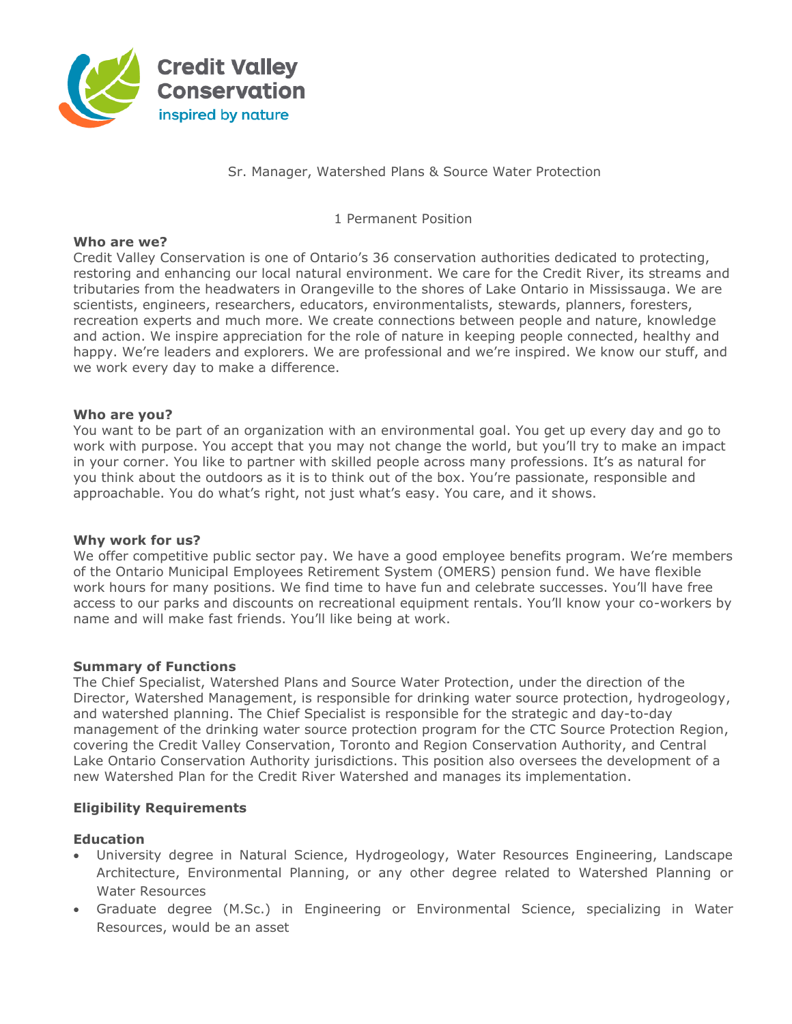

Sr. Manager, Watershed Plans & Source Water Protection

1 Permanent Position

### **Who are we?**

Credit Valley Conservation is one of Ontario's 36 conservation authorities dedicated to protecting, restoring and enhancing our local natural environment. We care for the Credit River, its streams and tributaries from the headwaters in Orangeville to the shores of Lake Ontario in Mississauga. We are scientists, engineers, researchers, educators, environmentalists, stewards, planners, foresters, recreation experts and much more. We create connections between people and nature, knowledge and action. We inspire appreciation for the role of nature in keeping people connected, healthy and happy. We're leaders and explorers. We are professional and we're inspired. We know our stuff, and we work every day to make a difference.

#### **Who are you?**

You want to be part of an organization with an environmental goal. You get up every day and go to work with purpose. You accept that you may not change the world, but you'll try to make an impact in your corner. You like to partner with skilled people across many professions. It's as natural for you think about the outdoors as it is to think out of the box. You're passionate, responsible and approachable. You do what's right, not just what's easy. You care, and it shows.

#### **Why work for us?**

We offer competitive public sector pay. We have a good employee benefits program. We're members of the Ontario Municipal Employees Retirement System (OMERS) pension fund. We have flexible work hours for many positions. We find time to have fun and celebrate successes. You'll have free access to our parks and discounts on recreational equipment rentals. You'll know your co-workers by name and will make fast friends. You'll like being at work.

#### **Summary of Functions**

The Chief Specialist, Watershed Plans and Source Water Protection, under the direction of the Director, Watershed Management, is responsible for drinking water source protection, hydrogeology, and watershed planning. The Chief Specialist is responsible for the strategic and day-to-day management of the drinking water source protection program for the CTC Source Protection Region, covering the Credit Valley Conservation, Toronto and Region Conservation Authority, and Central Lake Ontario Conservation Authority jurisdictions. This position also oversees the development of a new Watershed Plan for the Credit River Watershed and manages its implementation.

### **Eligibility Requirements**

### **Education**

- University degree in Natural Science, Hydrogeology, Water Resources Engineering, Landscape Architecture, Environmental Planning, or any other degree related to Watershed Planning or Water Resources
- Graduate degree (M.Sc.) in Engineering or Environmental Science, specializing in Water Resources, would be an asset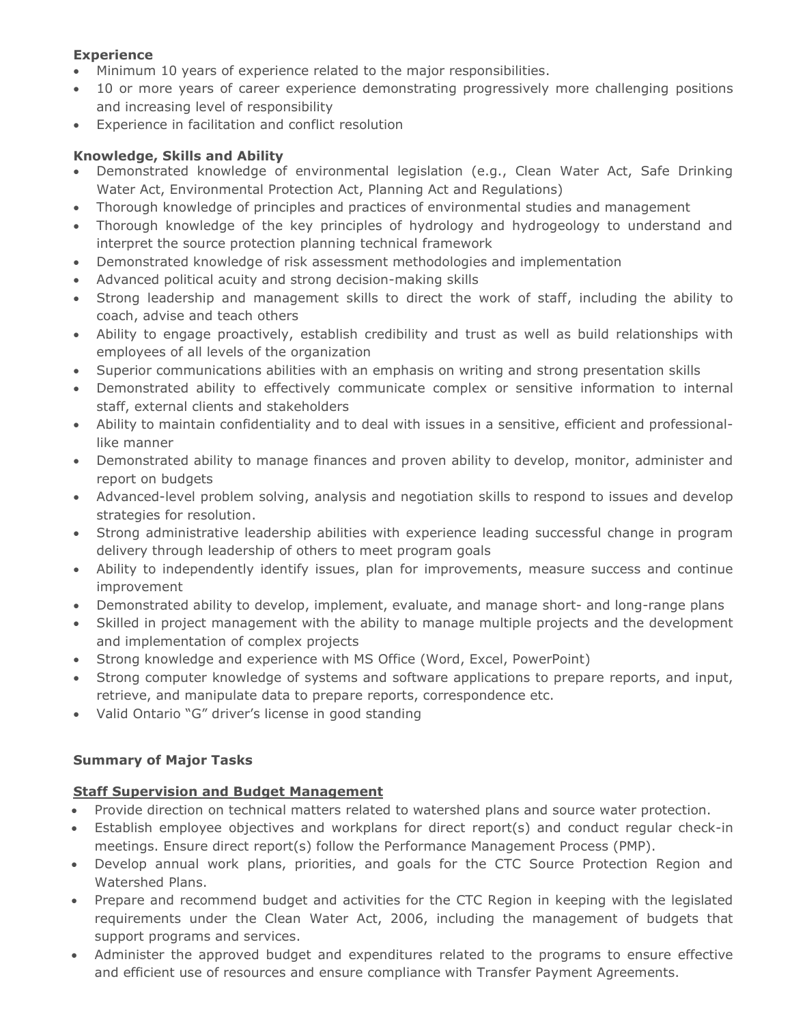## **Experience**

- Minimum 10 years of experience related to the major responsibilities.
- 10 or more years of career experience demonstrating progressively more challenging positions and increasing level of responsibility
- Experience in facilitation and conflict resolution

## **Knowledge, Skills and Ability**

- Demonstrated knowledge of environmental legislation (e.g., Clean Water Act, Safe Drinking Water Act, Environmental Protection Act, Planning Act and Regulations)
- Thorough knowledge of principles and practices of environmental studies and management
- Thorough knowledge of the key principles of hydrology and hydrogeology to understand and interpret the source protection planning technical framework
- Demonstrated knowledge of risk assessment methodologies and implementation
- Advanced political acuity and strong decision-making skills
- Strong leadership and management skills to direct the work of staff, including the ability to coach, advise and teach others
- Ability to engage proactively, establish credibility and trust as well as build relationships with employees of all levels of the organization
- Superior communications abilities with an emphasis on writing and strong presentation skills
- Demonstrated ability to effectively communicate complex or sensitive information to internal staff, external clients and stakeholders
- Ability to maintain confidentiality and to deal with issues in a sensitive, efficient and professionallike manner
- Demonstrated ability to manage finances and proven ability to develop, monitor, administer and report on budgets
- Advanced-level problem solving, analysis and negotiation skills to respond to issues and develop strategies for resolution.
- Strong administrative leadership abilities with experience leading successful change in program delivery through leadership of others to meet program goals
- Ability to independently identify issues, plan for improvements, measure success and continue improvement
- Demonstrated ability to develop, implement, evaluate, and manage short- and long-range plans
- Skilled in project management with the ability to manage multiple projects and the development and implementation of complex projects
- Strong knowledge and experience with MS Office (Word, Excel, PowerPoint)
- Strong computer knowledge of systems and software applications to prepare reports, and input, retrieve, and manipulate data to prepare reports, correspondence etc.
- Valid Ontario "G" driver's license in good standing

## **Summary of Major Tasks**

## **Staff Supervision and Budget Management**

- Provide direction on technical matters related to watershed plans and source water protection.
- Establish employee objectives and workplans for direct report(s) and conduct regular check-in meetings. Ensure direct report(s) follow the Performance Management Process (PMP).
- Develop annual work plans, priorities, and goals for the CTC Source Protection Region and Watershed Plans.
- Prepare and recommend budget and activities for the CTC Region in keeping with the legislated requirements under the Clean Water Act, 2006, including the management of budgets that support programs and services.
- Administer the approved budget and expenditures related to the programs to ensure effective and efficient use of resources and ensure compliance with Transfer Payment Agreements.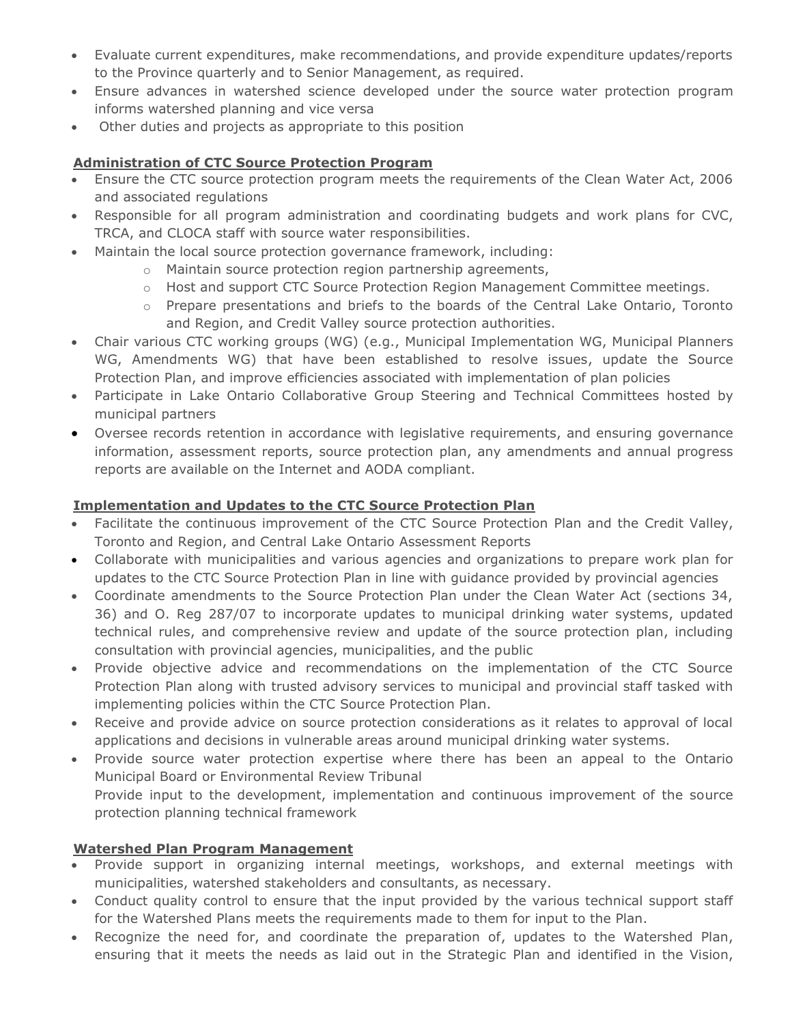- Evaluate current expenditures, make recommendations, and provide expenditure updates/reports to the Province quarterly and to Senior Management, as required.
- Ensure advances in watershed science developed under the source water protection program informs watershed planning and vice versa
- Other duties and projects as appropriate to this position

## **Administration of CTC Source Protection Program**

- Ensure the CTC source protection program meets the requirements of the Clean Water Act, 2006 and associated regulations
- Responsible for all program administration and coordinating budgets and work plans for CVC, TRCA, and CLOCA staff with source water responsibilities.
- Maintain the local source protection governance framework, including:
	- o Maintain source protection region partnership agreements,
	- o Host and support CTC Source Protection Region Management Committee meetings.
	- $\circ$  Prepare presentations and briefs to the boards of the Central Lake Ontario, Toronto and Region, and Credit Valley source protection authorities.
- Chair various CTC working groups (WG) (e.g., Municipal Implementation WG, Municipal Planners WG, Amendments WG) that have been established to resolve issues, update the Source Protection Plan, and improve efficiencies associated with implementation of plan policies
- Participate in Lake Ontario Collaborative Group Steering and Technical Committees hosted by municipal partners
- Oversee records retention in accordance with legislative requirements, and ensuring governance information, assessment reports, source protection plan, any amendments and annual progress reports are available on the Internet and AODA compliant.

# **Implementation and Updates to the CTC Source Protection Plan**

- Facilitate the continuous improvement of the CTC Source Protection Plan and the Credit Valley, Toronto and Region, and Central Lake Ontario Assessment Reports
- Collaborate with municipalities and various agencies and organizations to prepare work plan for updates to the CTC Source Protection Plan in line with guidance provided by provincial agencies
- Coordinate amendments to the Source Protection Plan under the Clean Water Act (sections 34, 36) and O. Reg 287/07 to incorporate updates to municipal drinking water systems, updated technical rules, and comprehensive review and update of the source protection plan, including consultation with provincial agencies, municipalities, and the public
- Provide objective advice and recommendations on the implementation of the CTC Source Protection Plan along with trusted advisory services to municipal and provincial staff tasked with implementing policies within the CTC Source Protection Plan.
- Receive and provide advice on source protection considerations as it relates to approval of local applications and decisions in vulnerable areas around municipal drinking water systems.
- Provide source water protection expertise where there has been an appeal to the Ontario Municipal Board or Environmental Review Tribunal Provide input to the development, implementation and continuous improvement of the source protection planning technical framework

# **Watershed Plan Program Management**

- Provide support in organizing internal meetings, workshops, and external meetings with municipalities, watershed stakeholders and consultants, as necessary.
- Conduct quality control to ensure that the input provided by the various technical support staff for the Watershed Plans meets the requirements made to them for input to the Plan.
- Recognize the need for, and coordinate the preparation of, updates to the Watershed Plan, ensuring that it meets the needs as laid out in the Strategic Plan and identified in the Vision,